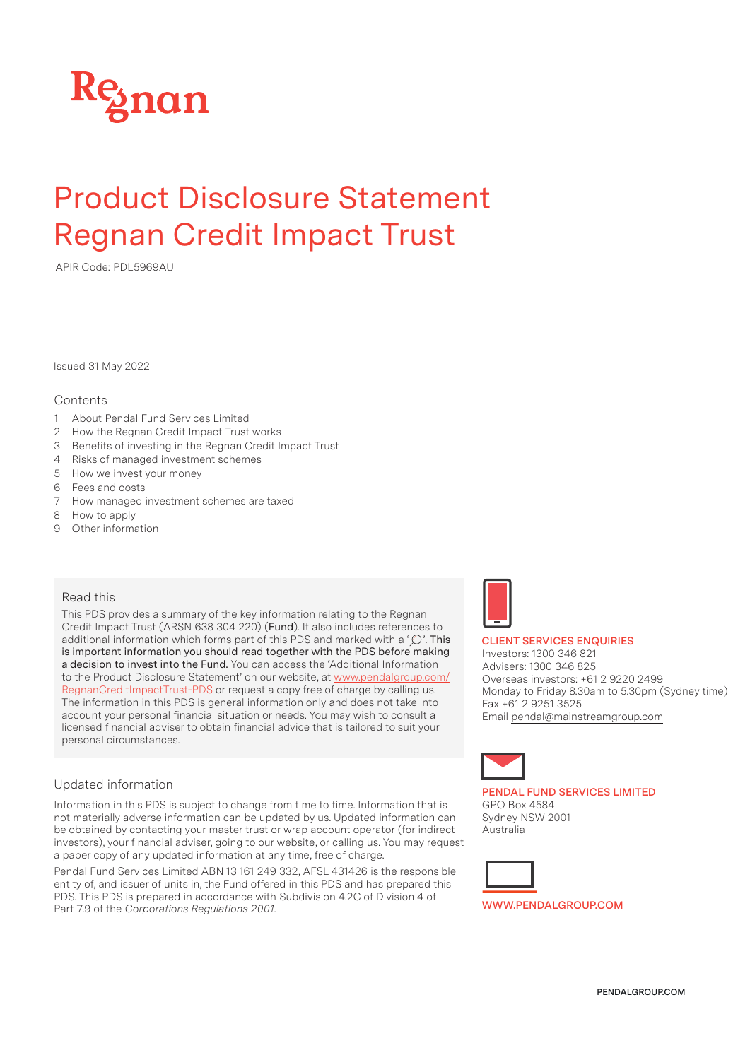

# Product Disclosure Statement Regnan Credit Impact Trust

APIR Code: PDL5969AU

Issued 31 May 2022

## **Contents**

- 1 About Pendal Fund Services Limited
- 2 How the Regnan Credit Impact Trust works
- 3 Benefits of investing in the Regnan Credit Impact Trust
- 4 Risks of managed investment schemes
- 5 How we invest your money
- 6 Fees and costs
- 7 How managed investment schemes are taxed
- 8 How to apply
- 9 Other information

## Read this

This PDS provides a summary of the key information relating to the Regnan Credit Impact Trust (ARSN 638 304 220) (Fund). It also includes references to additional information which forms part of this PDS and marked with a ' $\mathbb{O}'$ . This is important information you should read together with the PDS before making a decision to invest into the Fund. You can access the 'Additional Information to the Product Disclosure Statement' on our website, at www.pendalgroup.com/ RegnanCreditImpactTrust-PDS or request a copy free of charge by calling us. The information in this PDS is general information only and does not take into account your personal financial situation or needs. You may wish to consult a licensed financial adviser to obtain financial advice that is tailored to suit your personal circumstances.

## Updated information

Information in this PDS is subject to change from time to time. Information that is not materially adverse information can be updated by us. Updated information can be obtained by contacting your master trust or wrap account operator (for indirect investors), your financial adviser, going to our website, or calling us. You may request a paper copy of any updated information at any time, free of charge.

Pendal Fund Services Limited ABN 13 161 249 332, AFSL 431426 is the responsible entity of, and issuer of units in, the Fund offered in this PDS and has prepared this PDS. This PDS is prepared in accordance with Subdivision 4.2C of Division 4 of Part 7.9 of the *Corporations Regulations 2001*.



#### **CLIENT SERVICES ENQUIRIES**

Investors: 1300 346 821 Advisers: 1300 346 825 Overseas investors: +61 2 9220 2499 Monday to Friday 8.30am to 5.30pm (Sydney time) Fax +61 2 9251 3525 Email pendal@mainstreamgroup.com



**PENDAL FUND SERVICES LIMITED** GPO Box 4584 Sydney NSW 2001 Australia



**WWW.PENDALGROUP.COM**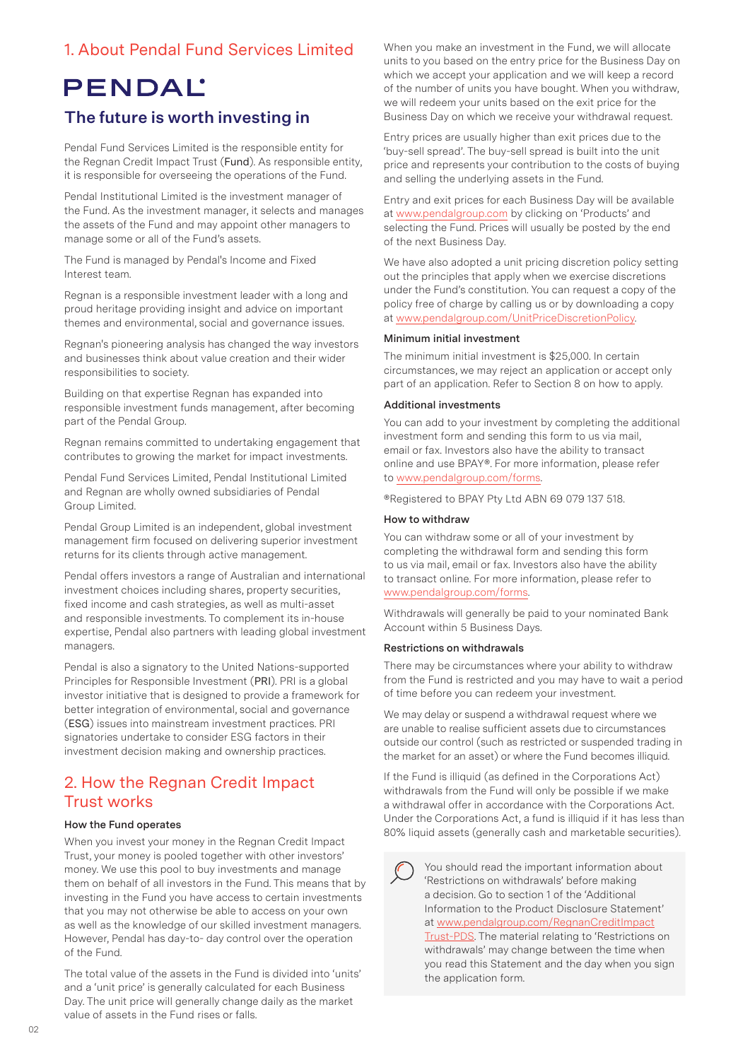# 1. About Pendal Fund Services Limited

# **PENDAL'**

# The future is worth investing in

Pendal Fund Services Limited is the responsible entity for the Regnan Credit Impact Trust (Fund). As responsible entity, it is responsible for overseeing the operations of the Fund.

Pendal Institutional Limited is the investment manager of the Fund. As the investment manager, it selects and manages the assets of the Fund and may appoint other managers to manage some or all of the Fund's assets.

The Fund is managed by Pendal's Income and Fixed Interest team.

Regnan is a responsible investment leader with a long and proud heritage providing insight and advice on important themes and environmental, social and governance issues.

Regnan's pioneering analysis has changed the way investors and businesses think about value creation and their wider responsibilities to society.

Building on that expertise Regnan has expanded into responsible investment funds management, after becoming part of the Pendal Group.

Regnan remains committed to undertaking engagement that contributes to growing the market for impact investments.

Pendal Fund Services Limited, Pendal Institutional Limited and Regnan are wholly owned subsidiaries of Pendal Group Limited.

Pendal Group Limited is an independent, global investment management firm focused on delivering superior investment returns for its clients through active management.

Pendal offers investors a range of Australian and international investment choices including shares, property securities, fixed income and cash strategies, as well as multi-asset and responsible investments. To complement its in-house expertise, Pendal also partners with leading global investment managers.

Pendal is also a signatory to the United Nations-supported Principles for Responsible Investment (PRI). PRI is a global investor initiative that is designed to provide a framework for better integration of environmental, social and governance (ESG) issues into mainstream investment practices. PRI signatories undertake to consider ESG factors in their investment decision making and ownership practices.

# 2. How the Regnan Credit Impact Trust works

## **How the Fund operates**

When you invest your money in the Regnan Credit Impact Trust, your money is pooled together with other investors' money. We use this pool to buy investments and manage them on behalf of all investors in the Fund. This means that by investing in the Fund you have access to certain investments that you may not otherwise be able to access on your own as well as the knowledge of our skilled investment managers. However, Pendal has day-to- day control over the operation of the Fund.

The total value of the assets in the Fund is divided into 'units' and a 'unit price' is generally calculated for each Business Day. The unit price will generally change daily as the market value of assets in the Fund rises or falls.

When you make an investment in the Fund, we will allocate units to you based on the entry price for the Business Day on which we accept your application and we will keep a record of the number of units you have bought. When you withdraw, we will redeem your units based on the exit price for the Business Day on which we receive your withdrawal request.

Entry prices are usually higher than exit prices due to the 'buy-sell spread'. The buy-sell spread is built into the unit price and represents your contribution to the costs of buying and selling the underlying assets in the Fund.

Entry and exit prices for each Business Day will be available at www.pendalgroup.com by clicking on 'Products' and selecting the Fund. Prices will usually be posted by the end of the next Business Day.

We have also adopted a unit pricing discretion policy setting out the principles that apply when we exercise discretions under the Fund's constitution. You can request a copy of the policy free of charge by calling us or by downloading a copy at www.pendalgroup.com/UnitPriceDiscretionPolicy.

#### **Minimum initial investment**

The minimum initial investment is \$25,000. In certain circumstances, we may reject an application or accept only part of an application. Refer to Section 8 on how to apply.

#### **Additional investments**

You can add to your investment by completing the additional investment form and sending this form to us via mail, email or fax. Investors also have the ability to transact online and use BPAY®. For more information, please refer to www.pendalgroup.com/forms.

®Registered to BPAY Pty Ltd ABN 69 079 137 518.

## **How to withdraw**

You can withdraw some or all of your investment by completing the withdrawal form and sending this form to us via mail, email or fax. Investors also have the ability to transact online. For more information, please refer to www.pendalgroup.com/forms.

Withdrawals will generally be paid to your nominated Bank Account within 5 Business Days.

#### **Restrictions on withdrawals**

There may be circumstances where your ability to withdraw from the Fund is restricted and you may have to wait a period of time before you can redeem your investment.

We may delay or suspend a withdrawal request where we are unable to realise sufficient assets due to circumstances outside our control (such as restricted or suspended trading in the market for an asset) or where the Fund becomes illiquid.

If the Fund is illiquid (as defined in the Corporations Act) withdrawals from the Fund will only be possible if we make a withdrawal offer in accordance with the Corporations Act. Under the Corporations Act, a fund is illiquid if it has less than 80% liquid assets (generally cash and marketable securities).

You should read the important information about 'Restrictions on withdrawals' before making a decision. Go to section 1 of the 'Additional Information to the Product Disclosure Statement' at www.pendalgroup.com/RegnanCreditImpact Trust-PDS. The material relating to 'Restrictions on withdrawals' may change between the time when you read this Statement and the day when you sign the application form.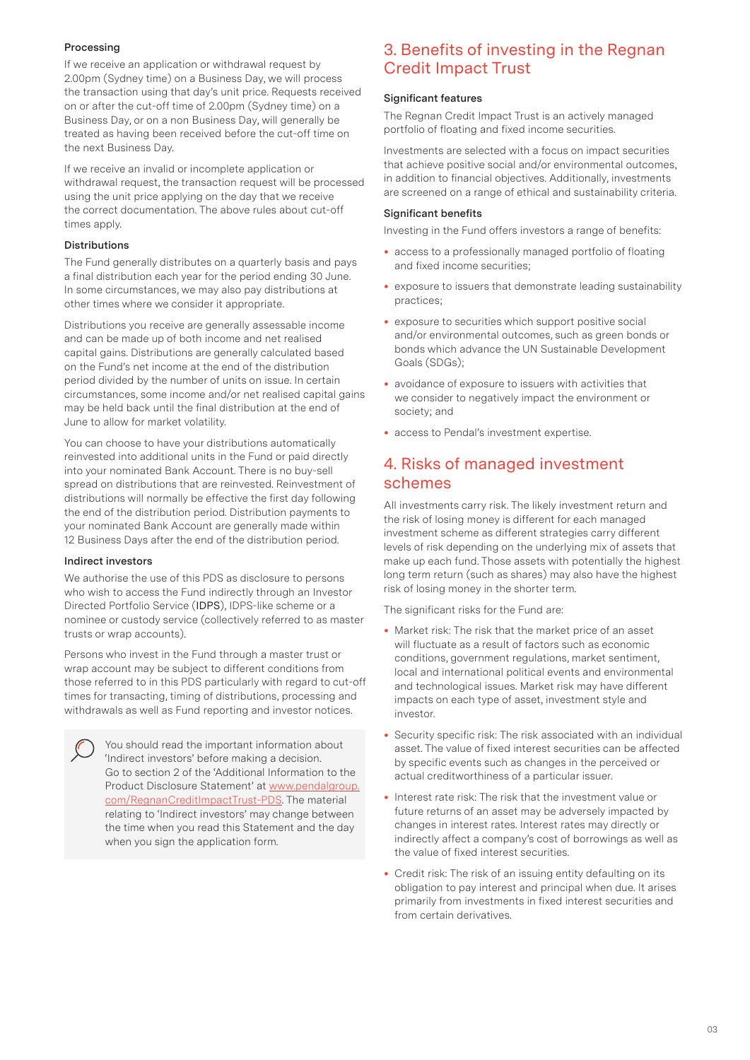## **Processing**

If we receive an application or withdrawal request by 2.00pm (Sydney time) on a Business Day, we will process the transaction using that day's unit price. Requests received on or after the cut-off time of 2.00pm (Sydney time) on a Business Day, or on a non Business Day, will generally be treated as having been received before the cut-off time on the next Business Day.

If we receive an invalid or incomplete application or withdrawal request, the transaction request will be processed using the unit price applying on the day that we receive the correct documentation. The above rules about cut-off times apply.

## **Distributions**

The Fund generally distributes on a quarterly basis and pays a final distribution each year for the period ending 30 June. In some circumstances, we may also pay distributions at other times where we consider it appropriate.

Distributions you receive are generally assessable income and can be made up of both income and net realised capital gains. Distributions are generally calculated based on the Fund's net income at the end of the distribution period divided by the number of units on issue. In certain circumstances, some income and/or net realised capital gains may be held back until the final distribution at the end of June to allow for market volatility.

You can choose to have your distributions automatically reinvested into additional units in the Fund or paid directly into your nominated Bank Account. There is no buy-sell spread on distributions that are reinvested. Reinvestment of distributions will normally be effective the first day following the end of the distribution period. Distribution payments to your nominated Bank Account are generally made within 12 Business Days after the end of the distribution period.

## **Indirect investors**

We authorise the use of this PDS as disclosure to persons who wish to access the Fund indirectly through an Investor Directed Portfolio Service (IDPS), IDPS-like scheme or a nominee or custody service (collectively referred to as master trusts or wrap accounts).

Persons who invest in the Fund through a master trust or wrap account may be subject to different conditions from those referred to in this PDS particularly with regard to cut-off times for transacting, timing of distributions, processing and withdrawals as well as Fund reporting and investor notices.

You should read the important information about 'Indirect investors' before making a decision. Go to section 2 of the 'Additional Information to the Product Disclosure Statement' at www.pendalgroup. com/RegnanCreditImpactTrust-PDS. The material relating to 'Indirect investors' may change between the time when you read this Statement and the day when you sign the application form.

# 3. Benefits of investing in the Regnan Credit Impact Trust

# **Significant features**

The Regnan Credit Impact Trust is an actively managed portfolio of floating and fixed income securities.

Investments are selected with a focus on impact securities that achieve positive social and/or environmental outcomes, in addition to financial objectives. Additionally, investments are screened on a range of ethical and sustainability criteria.

# **Significant benefits**

Investing in the Fund offers investors a range of benefits:

- access to a professionally managed portfolio of floating and fixed income securities;
- exposure to issuers that demonstrate leading sustainability practices;
- exposure to securities which support positive social and/or environmental outcomes, such as green bonds or bonds which advance the UN Sustainable Development Goals (SDGs);
- avoidance of exposure to issuers with activities that we consider to negatively impact the environment or society; and
- access to Pendal's investment expertise.

# 4. Risks of managed investment schemes

All investments carry risk. The likely investment return and the risk of losing money is different for each managed investment scheme as different strategies carry different levels of risk depending on the underlying mix of assets that make up each fund. Those assets with potentially the highest long term return (such as shares) may also have the highest risk of losing money in the shorter term.

The significant risks for the Fund are:

- Market risk: The risk that the market price of an asset will fluctuate as a result of factors such as economic conditions, government regulations, market sentiment, local and international political events and environmental and technological issues. Market risk may have different impacts on each type of asset, investment style and investor.
- Security specific risk: The risk associated with an individual asset. The value of fixed interest securities can be affected by specific events such as changes in the perceived or actual creditworthiness of a particular issuer.
- Interest rate risk: The risk that the investment value or future returns of an asset may be adversely impacted by changes in interest rates. Interest rates may directly or indirectly affect a company's cost of borrowings as well as the value of fixed interest securities.
- Credit risk: The risk of an issuing entity defaulting on its obligation to pay interest and principal when due. It arises primarily from investments in fixed interest securities and from certain derivatives.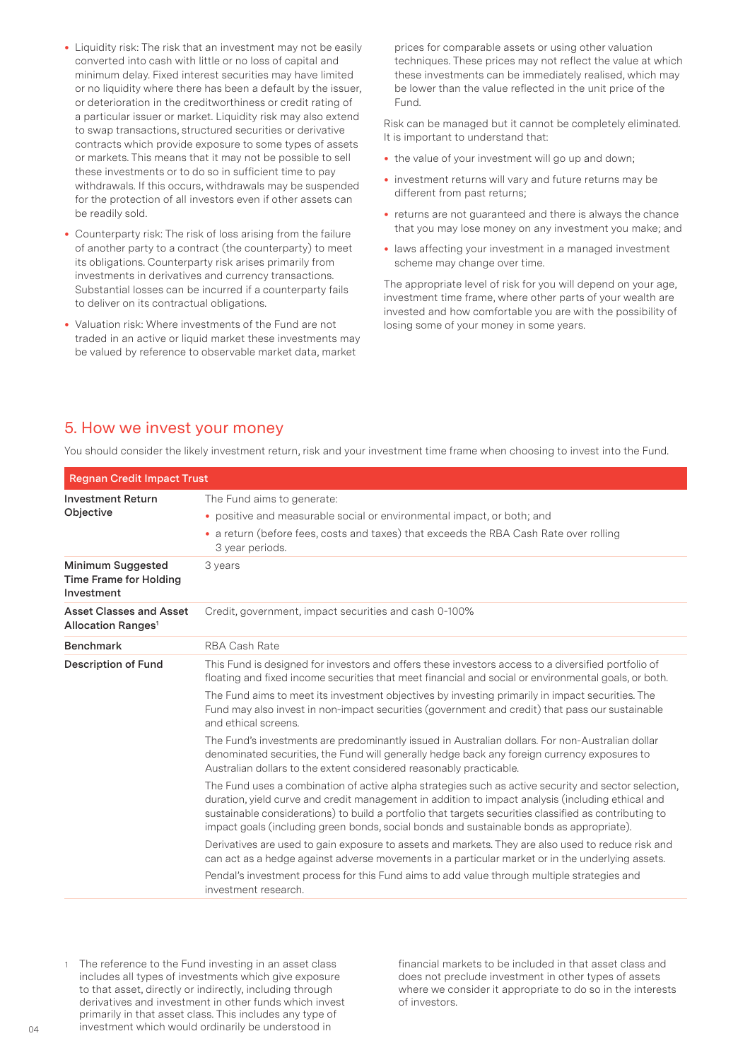- Liquidity risk: The risk that an investment may not be easily converted into cash with little or no loss of capital and minimum delay. Fixed interest securities may have limited or no liquidity where there has been a default by the issuer, or deterioration in the creditworthiness or credit rating of a particular issuer or market. Liquidity risk may also extend to swap transactions, structured securities or derivative contracts which provide exposure to some types of assets or markets. This means that it may not be possible to sell these investments or to do so in sufficient time to pay withdrawals. If this occurs, withdrawals may be suspended for the protection of all investors even if other assets can be readily sold.
- Counterparty risk: The risk of loss arising from the failure of another party to a contract (the counterparty) to meet its obligations. Counterparty risk arises primarily from investments in derivatives and currency transactions. Substantial losses can be incurred if a counterparty fails to deliver on its contractual obligations.
- Valuation risk: Where investments of the Fund are not traded in an active or liquid market these investments may be valued by reference to observable market data, market

prices for comparable assets or using other valuation techniques. These prices may not reflect the value at which these investments can be immediately realised, which may be lower than the value reflected in the unit price of the Fund.

Risk can be managed but it cannot be completely eliminated. It is important to understand that:

- the value of your investment will go up and down;
- investment returns will vary and future returns may be different from past returns;
- returns are not guaranteed and there is always the chance that you may lose money on any investment you make; and
- laws affecting your investment in a managed investment scheme may change over time.

The appropriate level of risk for you will depend on your age, investment time frame, where other parts of your wealth are invested and how comfortable you are with the possibility of losing some of your money in some years.

# 5. How we invest your money

| <b>Regnan Credit Impact Trust</b>                                |                                                                                                                                                                                                                                                                                                                                                                                                                                            |  |
|------------------------------------------------------------------|--------------------------------------------------------------------------------------------------------------------------------------------------------------------------------------------------------------------------------------------------------------------------------------------------------------------------------------------------------------------------------------------------------------------------------------------|--|
| <b>Investment Return</b><br>Objective                            | The Fund aims to generate:<br>• positive and measurable social or environmental impact, or both; and<br>• a return (before fees, costs and taxes) that exceeds the RBA Cash Rate over rolling<br>3 year periods.                                                                                                                                                                                                                           |  |
| Minimum Suggested<br><b>Time Frame for Holding</b><br>Investment | 3 years                                                                                                                                                                                                                                                                                                                                                                                                                                    |  |
| Asset Classes and Asset<br>Allocation Ranges <sup>1</sup>        | Credit, government, impact securities and cash 0-100%                                                                                                                                                                                                                                                                                                                                                                                      |  |
| <b>Benchmark</b>                                                 | <b>RBA Cash Rate</b>                                                                                                                                                                                                                                                                                                                                                                                                                       |  |
| <b>Description of Fund</b>                                       | This Fund is designed for investors and offers these investors access to a diversified portfolio of<br>floating and fixed income securities that meet financial and social or environmental goals, or both.<br>The Fund aims to meet its investment objectives by investing primarily in impact securities. The<br>Fund may also invest in non-impact securities (government and credit) that pass our sustainable<br>and ethical screens. |  |
|                                                                  | The Fund's investments are predominantly issued in Australian dollars. For non-Australian dollar<br>denominated securities, the Fund will generally hedge back any foreign currency exposures to<br>Australian dollars to the extent considered reasonably practicable.                                                                                                                                                                    |  |
|                                                                  | The Fund uses a combination of active alpha strategies such as active security and sector selection,<br>duration, yield curve and credit management in addition to impact analysis (including ethical and<br>sustainable considerations) to build a portfolio that targets securities classified as contributing to<br>impact goals (including green bonds, social bonds and sustainable bonds as appropriate).                            |  |
|                                                                  | Derivatives are used to gain exposure to assets and markets. They are also used to reduce risk and<br>can act as a hedge against adverse movements in a particular market or in the underlying assets.                                                                                                                                                                                                                                     |  |
|                                                                  | Pendal's investment process for this Fund aims to add value through multiple strategies and<br>investment research.                                                                                                                                                                                                                                                                                                                        |  |

You should consider the likely investment return, risk and your investment time frame when choosing to invest into the Fund.

1 The reference to the Fund investing in an asset class includes all types of investments which give exposure to that asset, directly or indirectly, including through derivatives and investment in other funds which invest primarily in that asset class. This includes any type of investment which would ordinarily be understood in

financial markets to be included in that asset class and does not preclude investment in other types of assets where we consider it appropriate to do so in the interests of investors.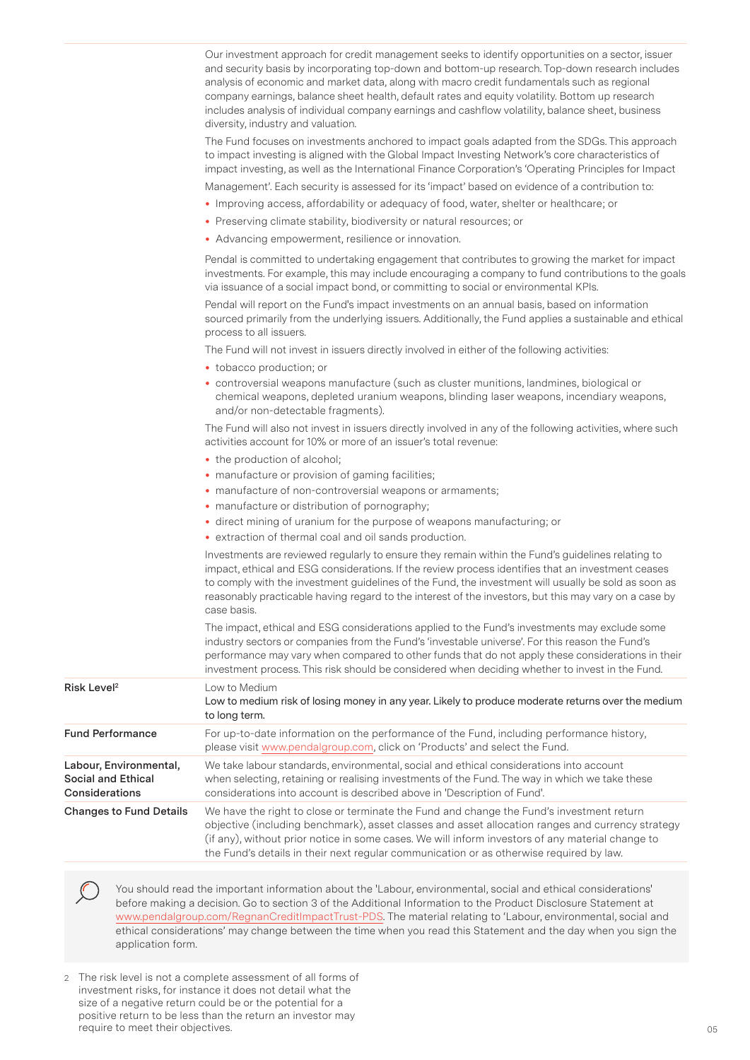|                                                                | Our investment approach for credit management seeks to identify opportunities on a sector, issuer<br>and security basis by incorporating top-down and bottom-up research. Top-down research includes<br>analysis of economic and market data, along with macro credit fundamentals such as regional<br>company earnings, balance sheet health, default rates and equity volatility. Bottom up research<br>includes analysis of individual company earnings and cashflow volatility, balance sheet, business<br>diversity, industry and valuation. |
|----------------------------------------------------------------|---------------------------------------------------------------------------------------------------------------------------------------------------------------------------------------------------------------------------------------------------------------------------------------------------------------------------------------------------------------------------------------------------------------------------------------------------------------------------------------------------------------------------------------------------|
|                                                                | The Fund focuses on investments anchored to impact goals adapted from the SDGs. This approach<br>to impact investing is aligned with the Global Impact Investing Network's core characteristics of<br>impact investing, as well as the International Finance Corporation's 'Operating Principles for Impact                                                                                                                                                                                                                                       |
|                                                                | Management'. Each security is assessed for its 'impact' based on evidence of a contribution to:                                                                                                                                                                                                                                                                                                                                                                                                                                                   |
|                                                                | • Improving access, affordability or adequacy of food, water, shelter or healthcare; or                                                                                                                                                                                                                                                                                                                                                                                                                                                           |
|                                                                | • Preserving climate stability, biodiversity or natural resources; or                                                                                                                                                                                                                                                                                                                                                                                                                                                                             |
|                                                                | • Advancing empowerment, resilience or innovation.                                                                                                                                                                                                                                                                                                                                                                                                                                                                                                |
|                                                                | Pendal is committed to undertaking engagement that contributes to growing the market for impact<br>investments. For example, this may include encouraging a company to fund contributions to the goals<br>via issuance of a social impact bond, or committing to social or environmental KPIs.                                                                                                                                                                                                                                                    |
|                                                                | Pendal will report on the Fund's impact investments on an annual basis, based on information<br>sourced primarily from the underlying issuers. Additionally, the Fund applies a sustainable and ethical<br>process to all issuers.                                                                                                                                                                                                                                                                                                                |
|                                                                | The Fund will not invest in issuers directly involved in either of the following activities:                                                                                                                                                                                                                                                                                                                                                                                                                                                      |
|                                                                | • tobacco production; or                                                                                                                                                                                                                                                                                                                                                                                                                                                                                                                          |
|                                                                | · controversial weapons manufacture (such as cluster munitions, landmines, biological or<br>chemical weapons, depleted uranium weapons, blinding laser weapons, incendiary weapons,<br>and/or non-detectable fragments).                                                                                                                                                                                                                                                                                                                          |
|                                                                | The Fund will also not invest in issuers directly involved in any of the following activities, where such<br>activities account for 10% or more of an issuer's total revenue:                                                                                                                                                                                                                                                                                                                                                                     |
|                                                                | • the production of alcohol;                                                                                                                                                                                                                                                                                                                                                                                                                                                                                                                      |
|                                                                | • manufacture or provision of gaming facilities;<br>• manufacture of non-controversial weapons or armaments;                                                                                                                                                                                                                                                                                                                                                                                                                                      |
|                                                                | • manufacture or distribution of pornography;                                                                                                                                                                                                                                                                                                                                                                                                                                                                                                     |
|                                                                | · direct mining of uranium for the purpose of weapons manufacturing; or                                                                                                                                                                                                                                                                                                                                                                                                                                                                           |
|                                                                | • extraction of thermal coal and oil sands production.                                                                                                                                                                                                                                                                                                                                                                                                                                                                                            |
|                                                                | Investments are reviewed regularly to ensure they remain within the Fund's guidelines relating to<br>impact, ethical and ESG considerations. If the review process identifies that an investment ceases<br>to comply with the investment guidelines of the Fund, the investment will usually be sold as soon as<br>reasonably practicable having regard to the interest of the investors, but this may vary on a case by<br>case basis.                                                                                                           |
|                                                                | The impact, ethical and ESG considerations applied to the Fund's investments may exclude some<br>industry sectors or companies from the Fund's 'investable universe'. For this reason the Fund's<br>performance may vary when compared to other funds that do not apply these considerations in their<br>investment process. This risk should be considered when deciding whether to invest in the Fund.                                                                                                                                          |
| Risk Level <sup>2</sup>                                        | Low to Medium<br>Low to medium risk of losing money in any year. Likely to produce moderate returns over the medium<br>to long term.                                                                                                                                                                                                                                                                                                                                                                                                              |
| <b>Fund Performance</b>                                        | For up-to-date information on the performance of the Fund, including performance history,<br>please visit www.pendalgroup.com, click on 'Products' and select the Fund.                                                                                                                                                                                                                                                                                                                                                                           |
| Labour, Environmental,<br>Social and Ethical<br>Considerations | We take labour standards, environmental, social and ethical considerations into account<br>when selecting, retaining or realising investments of the Fund. The way in which we take these<br>considerations into account is described above in 'Description of Fund'.                                                                                                                                                                                                                                                                             |
| <b>Changes to Fund Details</b>                                 | We have the right to close or terminate the Fund and change the Fund's investment return<br>objective (including benchmark), asset classes and asset allocation ranges and currency strategy<br>(if any), without prior notice in some cases. We will inform investors of any material change to<br>the Fund's details in their next regular communication or as otherwise required by law.                                                                                                                                                       |
|                                                                |                                                                                                                                                                                                                                                                                                                                                                                                                                                                                                                                                   |

You should read the important information about the 'Labour, environmental, social and ethical considerations' before making a decision. Go to section 3 of the Additional Information to the Product Disclosure Statement at www.pendalgroup.com/RegnanCreditImpactTrust-PDS. The material relating to 'Labour, environmental, social and ethical considerations' may change between the time when you read this Statement and the day when you sign the application form.

2 The risk level is not a complete assessment of all forms of investment risks, for instance it does not detail what the size of a negative return could be or the potential for a positive return to be less than the return an investor may require to meet their objectives.

 $\mathcal C$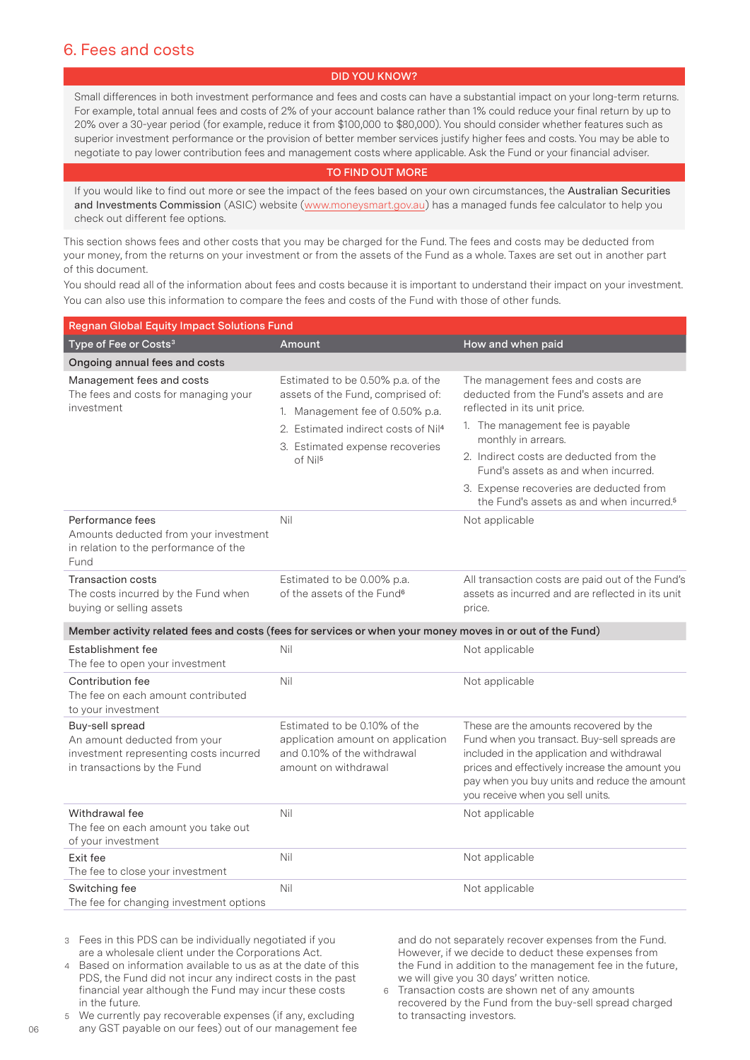# 6. Fees and costs

## **DID YOU KNOW?**

Small differences in both investment performance and fees and costs can have a substantial impact on your long-term returns. For example, total annual fees and costs of 2% of your account balance rather than 1% could reduce your final return by up to 20% over a 30-year period (for example, reduce it from \$100,000 to \$80,000). You should consider whether features such as superior investment performance or the provision of better member services justify higher fees and costs. You may be able to negotiate to pay lower contribution fees and management costs where applicable. Ask the Fund or your financial adviser.

#### **TO FIND OUT MORE**

If you would like to find out more or see the impact of the fees based on your own circumstances, the Australian Securities and Investments Commission (ASIC) website (www.moneysmart.gov.au) has a managed funds fee calculator to help you check out different fee options.

This section shows fees and other costs that you may be charged for the Fund. The fees and costs may be deducted from your money, from the returns on your investment or from the assets of the Fund as a whole. Taxes are set out in another part of this document.

You should read all of the information about fees and costs because it is important to understand their impact on your investment. You can also use this information to compare the fees and costs of the Fund with those of other funds.

| <b>Regnan Global Equity Impact Solutions Fund</b>                                                                        |                                                                                                                                                                                                                        |                                                                                                                                                                                                                                                                                                                                                              |  |  |  |
|--------------------------------------------------------------------------------------------------------------------------|------------------------------------------------------------------------------------------------------------------------------------------------------------------------------------------------------------------------|--------------------------------------------------------------------------------------------------------------------------------------------------------------------------------------------------------------------------------------------------------------------------------------------------------------------------------------------------------------|--|--|--|
| Type of Fee or Costs <sup>3</sup>                                                                                        | Amount                                                                                                                                                                                                                 | How and when paid                                                                                                                                                                                                                                                                                                                                            |  |  |  |
| Ongoing annual fees and costs                                                                                            |                                                                                                                                                                                                                        |                                                                                                                                                                                                                                                                                                                                                              |  |  |  |
| Management fees and costs<br>The fees and costs for managing your<br>investment                                          | Estimated to be 0.50% p.a. of the<br>assets of the Fund, comprised of:<br>1. Management fee of 0.50% p.a.<br>2. Estimated indirect costs of Nil <sup>4</sup><br>3. Estimated expense recoveries<br>of Nil <sup>5</sup> | The management fees and costs are<br>deducted from the Fund's assets and are<br>reflected in its unit price.<br>1. The management fee is payable<br>monthly in arrears.<br>2. Indirect costs are deducted from the<br>Fund's assets as and when incurred.<br>3. Expense recoveries are deducted from<br>the Fund's assets as and when incurred. <sup>5</sup> |  |  |  |
| Performance fees<br>Amounts deducted from your investment<br>in relation to the performance of the<br>Fund               | Nil                                                                                                                                                                                                                    | Not applicable                                                                                                                                                                                                                                                                                                                                               |  |  |  |
| <b>Transaction costs</b><br>The costs incurred by the Fund when<br>buying or selling assets                              | Estimated to be 0.00% p.a.<br>of the assets of the Fund <sup>6</sup>                                                                                                                                                   | All transaction costs are paid out of the Fund's<br>assets as incurred and are reflected in its unit<br>price.                                                                                                                                                                                                                                               |  |  |  |
| Member activity related fees and costs (fees for services or when your money moves in or out of the Fund)                |                                                                                                                                                                                                                        |                                                                                                                                                                                                                                                                                                                                                              |  |  |  |
| Establishment fee<br>The fee to open your investment                                                                     | Nil                                                                                                                                                                                                                    | Not applicable                                                                                                                                                                                                                                                                                                                                               |  |  |  |
| Contribution fee<br>The fee on each amount contributed<br>to your investment                                             | Nil                                                                                                                                                                                                                    | Not applicable                                                                                                                                                                                                                                                                                                                                               |  |  |  |
| Buy-sell spread<br>An amount deducted from your<br>investment representing costs incurred<br>in transactions by the Fund | Estimated to be 0.10% of the<br>application amount on application<br>and 0.10% of the withdrawal<br>amount on withdrawal                                                                                               | These are the amounts recovered by the<br>Fund when you transact. Buy-sell spreads are<br>included in the application and withdrawal<br>prices and effectively increase the amount you<br>pay when you buy units and reduce the amount<br>you receive when you sell units.                                                                                   |  |  |  |
| Withdrawal fee<br>The fee on each amount you take out<br>of your investment                                              | Nil                                                                                                                                                                                                                    | Not applicable                                                                                                                                                                                                                                                                                                                                               |  |  |  |
| Exit fee<br>The fee to close your investment                                                                             | Nil                                                                                                                                                                                                                    | Not applicable                                                                                                                                                                                                                                                                                                                                               |  |  |  |
| Switching fee<br>The fee for changing investment options                                                                 | Nil                                                                                                                                                                                                                    | Not applicable                                                                                                                                                                                                                                                                                                                                               |  |  |  |

3 Fees in this PDS can be individually negotiated if you are a wholesale client under the Corporations Act.

4 Based on information available to us as at the date of this PDS, the Fund did not incur any indirect costs in the past financial year although the Fund may incur these costs in the future.

5 We currently pay recoverable expenses (if any, excluding any GST payable on our fees) out of our management fee and do not separately recover expenses from the Fund. However, if we decide to deduct these expenses from the Fund in addition to the management fee in the future, we will give you 30 days' written notice.

6 Transaction costs are shown net of any amounts recovered by the Fund from the buy-sell spread charged to transacting investors.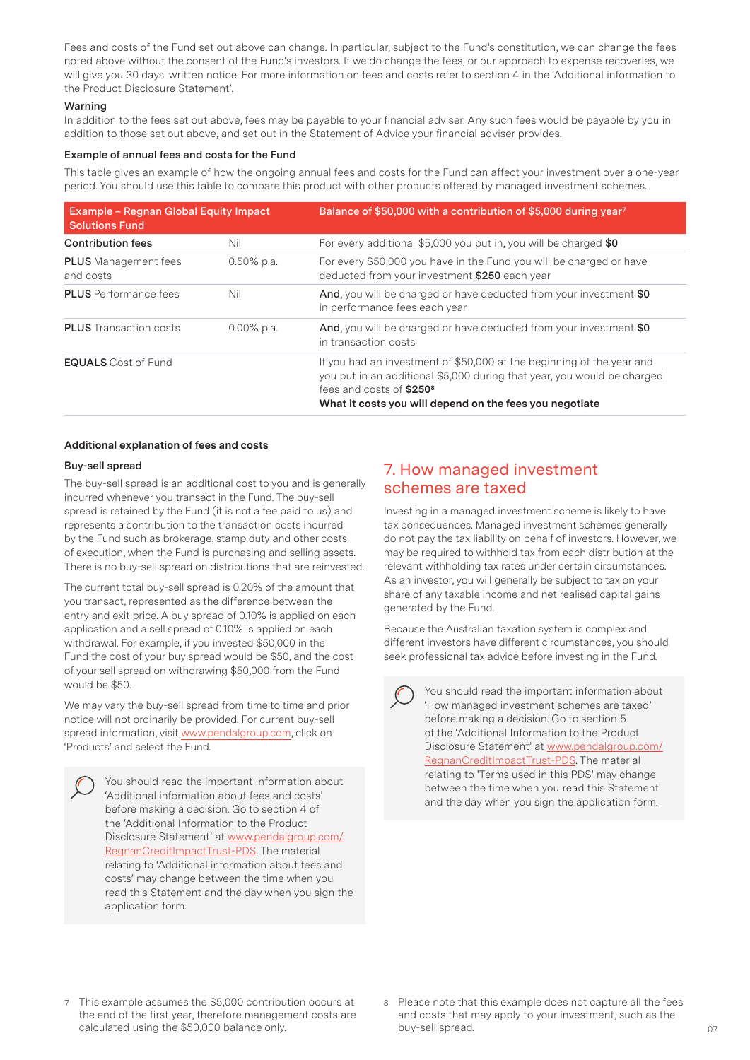Fees and costs of the Fund set out above can change. In particular, subject to the Fund's constitution, we can change the fees noted above without the consent of the Fund's investors. If we do change the fees, or our approach to expense recoveries, we will give you 30 days' written notice. For more information on fees and costs refer to section 4 in the 'Additional information to the Product Disclosure Statement'.

#### **Warning**

In addition to the fees set out above, fees may be payable to your financial adviser. Any such fees would be payable by you in addition to those set out above, and set out in the Statement of Advice your financial adviser provides.

#### **Example of annual fees and costs for the Fund**

This table gives an example of how the ongoing annual fees and costs for the Fund can affect your investment over a one-year period. You should use this table to compare this product with other products offered by managed investment schemes.

| Example - Regnan Global Equity Impact<br><b>Solutions Fund</b> |               | Balance of \$50,000 with a contribution of \$5,000 during year7                                                                                                                                                                                     |  |
|----------------------------------------------------------------|---------------|-----------------------------------------------------------------------------------------------------------------------------------------------------------------------------------------------------------------------------------------------------|--|
| <b>Contribution fees</b>                                       | Nil           | For every additional \$5,000 you put in, you will be charged \$0                                                                                                                                                                                    |  |
| <b>PLUS</b> Management fees<br>and costs                       | $0.50\%$ p.a. | For every \$50,000 you have in the Fund you will be charged or have<br>deducted from your investment \$250 each year                                                                                                                                |  |
| <b>PLUS</b> Performance fees                                   | Nil           | And, you will be charged or have deducted from your investment \$0<br>in performance fees each year                                                                                                                                                 |  |
| <b>PLUS</b> Transaction costs                                  | $0.00\%$ p.a. | And, you will be charged or have deducted from your investment \$0<br>in transaction costs                                                                                                                                                          |  |
| <b>EQUALS</b> Cost of Fund                                     |               | If you had an investment of \$50,000 at the beginning of the year and<br>you put in an additional \$5,000 during that year, you would be charged<br>fees and costs of \$250 <sup>8</sup><br>What it costs you will depend on the fees you negotiate |  |

## **Additional explanation of fees and costs**

#### **Buy-sell spread**

The buy-sell spread is an additional cost to you and is generally incurred whenever you transact in the Fund. The buy-sell spread is retained by the Fund (it is not a fee paid to us) and represents a contribution to the transaction costs incurred by the Fund such as brokerage, stamp duty and other costs of execution, when the Fund is purchasing and selling assets. There is no buy-sell spread on distributions that are reinvested.

The current total buy-sell spread is 0.20% of the amount that you transact, represented as the difference between the entry and exit price. A buy spread of 0.10% is applied on each application and a sell spread of 0.10% is applied on each withdrawal. For example, if you invested \$50,000 in the Fund the cost of your buy spread would be \$50, and the cost of your sell spread on withdrawing \$50,000 from the Fund would be \$50.

We may vary the buy-sell spread from time to time and prior notice will not ordinarily be provided. For current buy-sell spread information, visit www.pendalgroup.com, click on 'Products' and select the Fund.

You should read the important information about 'Additional information about fees and costs' before making a decision. Go to section 4 of the 'Additional Information to the Product Disclosure Statement' at www.pendalgroup.com/ RegnanCreditImpactTrust-PDS. The material relating to 'Additional information about fees and costs' may change between the time when you read this Statement and the day when you sign the application form.

# 7. How managed investment schemes are taxed

Investing in a managed investment scheme is likely to have tax consequences. Managed investment schemes generally do not pay the tax liability on behalf of investors. However, we may be required to withhold tax from each distribution at the relevant withholding tax rates under certain circumstances. As an investor, you will generally be subject to tax on your share of any taxable income and net realised capital gains generated by the Fund.

Because the Australian taxation system is complex and different investors have different circumstances, you should seek professional tax advice before investing in the Fund.

You should read the important information about 'How managed investment schemes are taxed' before making a decision. Go to section 5 of the 'Additional Information to the Product Disclosure Statement' at www.pendalgroup.com/ RegnanCreditImpactTrust-PDS. The material relating to 'Terms used in this PDS' may change between the time when you read this Statement and the day when you sign the application form.

- This example assumes the \$5,000 contribution occurs at the end of the first year, therefore management costs are calculated using the \$50,000 balance only.
- 8 Please note that this example does not capture all the fees and costs that may apply to your investment, such as the buy-sell spread.